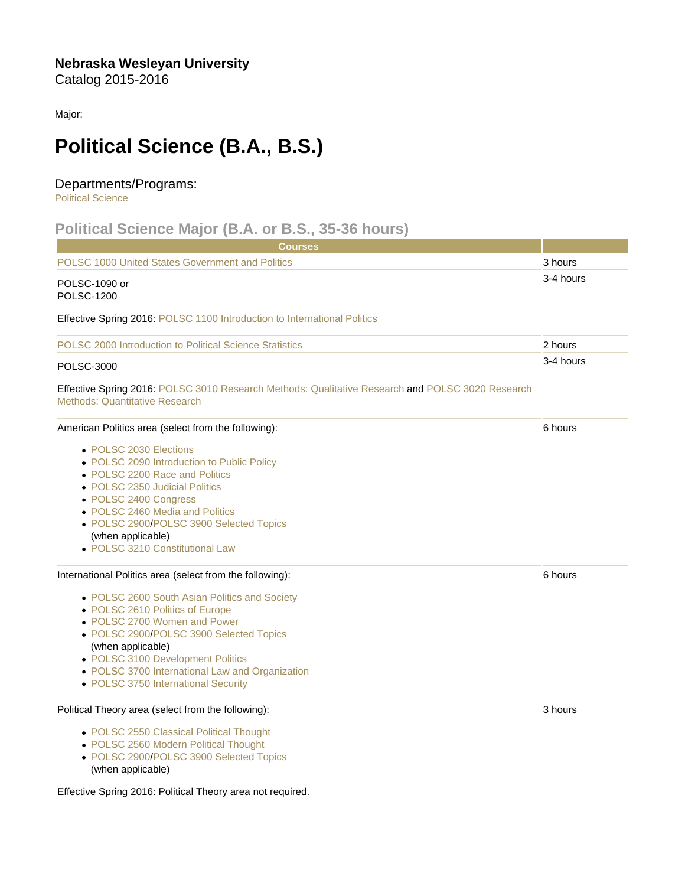Nebraska Wesleyan University Catalog 2015-2016

Major:

## Political Science (B.A., B.S.)

## Departments/Programs:

[Political Science](https://catalog.nebrwesleyan.edu/cc/2015-2016/department/304039)

## Political Science Major (B.A. or B.S., 35-36 hours)

| Courses                                                                                                                                                                                                                                                                                                         |           |
|-----------------------------------------------------------------------------------------------------------------------------------------------------------------------------------------------------------------------------------------------------------------------------------------------------------------|-----------|
| <b>POLSC 1000 United States Government and Politics</b>                                                                                                                                                                                                                                                         | 3 hours   |
| POLSC-1090 or<br><b>POLSC-1200</b>                                                                                                                                                                                                                                                                              | 3-4 hours |
| Effective Spring 2016: POLSC 1100 Introduction to International Politics                                                                                                                                                                                                                                        |           |
| POLSC 2000 Introduction to Political Science Statistics                                                                                                                                                                                                                                                         | 2 hours   |
| <b>POLSC-3000</b>                                                                                                                                                                                                                                                                                               | 3-4 hours |
| Effective Spring 2016: POLSC 3010 Research Methods: Qualitative Research and POLSC 3020 Research<br><b>Methods: Quantitative Research</b>                                                                                                                                                                       |           |
| American Politics area (select from the following):                                                                                                                                                                                                                                                             | 6 hours   |
| • POLSC 2030 Elections<br>• POLSC 2090 Introduction to Public Policy<br>• POLSC 2200 Race and Politics<br>• POLSC 2350 Judicial Politics<br>• POLSC 2400 Congress<br>• POLSC 2460 Media and Politics<br>• POLSC 2900/POLSC 3900 Selected Topics<br>(when applicable)<br>• POLSC 3210 Constitutional Law         |           |
| International Politics area (select from the following):                                                                                                                                                                                                                                                        | 6 hours   |
| • POLSC 2600 South Asian Politics and Society<br>• POLSC 2610 Politics of Europe<br>• POLSC 2700 Women and Power<br>• POLSC 2900/POLSC 3900 Selected Topics<br>(when applicable)<br>• POLSC 3100 Development Politics<br>• POLSC 3700 International Law and Organization<br>• POLSC 3750 International Security |           |
| Political Theory area (select from the following):                                                                                                                                                                                                                                                              | 3 hours   |
| • POLSC 2550 Classical Political Thought<br>• POLSC 2560 Modern Political Thought<br>• POLSC 2900/POLSC 3900 Selected Topics<br>(when applicable)                                                                                                                                                               |           |

Effective Spring 2016: Political Theory area not required.